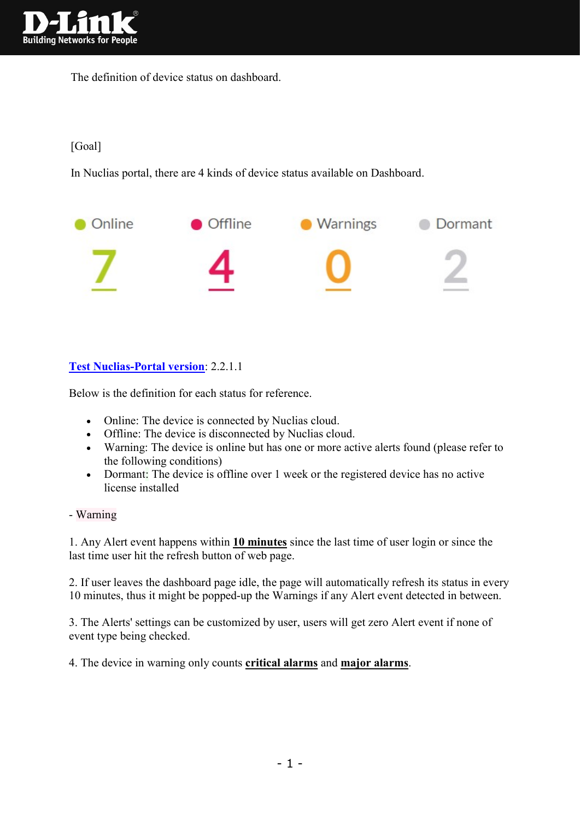

The definition of device status on dashboard.

## [Goal]

In Nuclias portal, there are 4 kinds of device status available on Dashboard.



## Test Nuclias-Portal version: 2.2.1.1

Below is the definition for each status for reference.

- Online: The device is connected by Nuclias cloud.
- Offline: The device is disconnected by Nuclias cloud.
- Warning: The device is online but has one or more active alerts found (please refer to the following conditions)
- Dormant: The device is offline over 1 week or the registered device has no active license installed

## - Warning

1. Any Alert event happens within 10 minutes since the last time of user login or since the last time user hit the refresh button of web page.

2. If user leaves the dashboard page idle, the page will automatically refresh its status in every 10 minutes, thus it might be popped-up the Warnings if any Alert event detected in between.

3. The Alerts' settings can be customized by user, users will get zero Alert event if none of event type being checked.

4. The device in warning only counts critical alarms and major alarms.